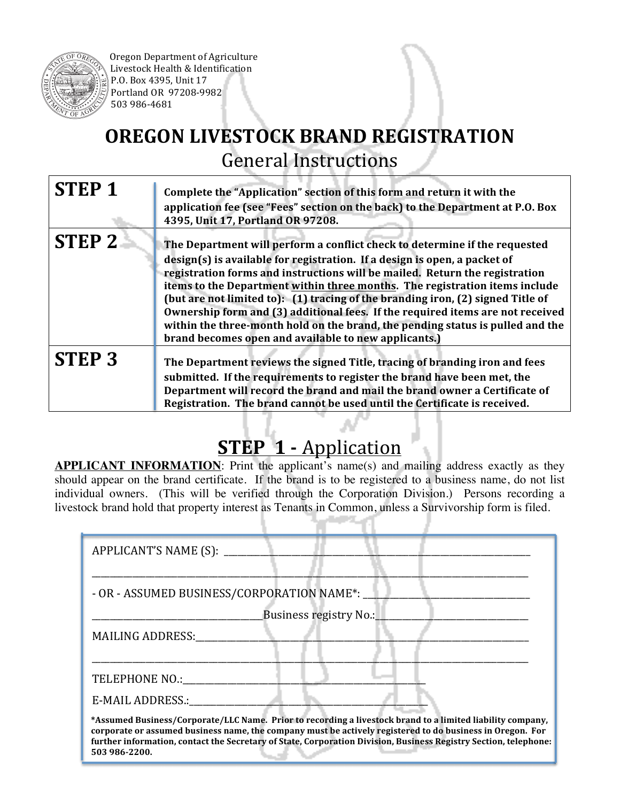

Oregon Department of Agriculture Livestock Health & Identification P.O. Box 4395, Unit 17 Portland OR 97208-9982 503 986-4681

## **OREGON LIVESTOCK BRAND REGISTRATION** General Instructions

| <b>STEP1</b>      | Complete the "Application" section of this form and return it with the<br>application fee (see "Fees" section on the back) to the Department at P.O. Box<br>4395, Unit 17, Portland OR 97208.                                                                                                                                                                                                                                                                                                                                                                                                                                        |
|-------------------|--------------------------------------------------------------------------------------------------------------------------------------------------------------------------------------------------------------------------------------------------------------------------------------------------------------------------------------------------------------------------------------------------------------------------------------------------------------------------------------------------------------------------------------------------------------------------------------------------------------------------------------|
| STEP <sub>2</sub> | The Department will perform a conflict check to determine if the requested<br>design(s) is available for registration. If a design is open, a packet of<br>registration forms and instructions will be mailed. Return the registration<br>items to the Department within three months. The registration items include<br>(but are not limited to): (1) tracing of the branding iron, (2) signed Title of<br>Ownership form and (3) additional fees. If the required items are not received<br>within the three-month hold on the brand, the pending status is pulled and the<br>brand becomes open and available to new applicants.) |
| <b>STEP 3</b>     | The Department reviews the signed Title, tracing of branding iron and fees<br>submitted. If the requirements to register the brand have been met, the<br>Department will record the brand and mail the brand owner a Certificate of<br>Registration. The brand cannot be used until the Certificate is received.                                                                                                                                                                                                                                                                                                                     |

## **STEP 1 -** Application

**APPLICANT INFORMATION:** Print the applicant's name(s) and mailing address exactly as they should appear on the brand certificate. If the brand is to be registered to a business name, do not list individual owners. (This will be verified through the Corporation Division.) Persons recording a livestock brand hold that property interest as Tenants in Common, unless a Survivorship form is filed.

| - OR - ASSUMED BUSINESS/CORPORATION NAME*: |                        |  |
|--------------------------------------------|------------------------|--|
|                                            | Business registry No.: |  |
| MAILING ADDRESS:                           |                        |  |
|                                            |                        |  |
|                                            |                        |  |
| TELEPHONE NO.:                             |                        |  |